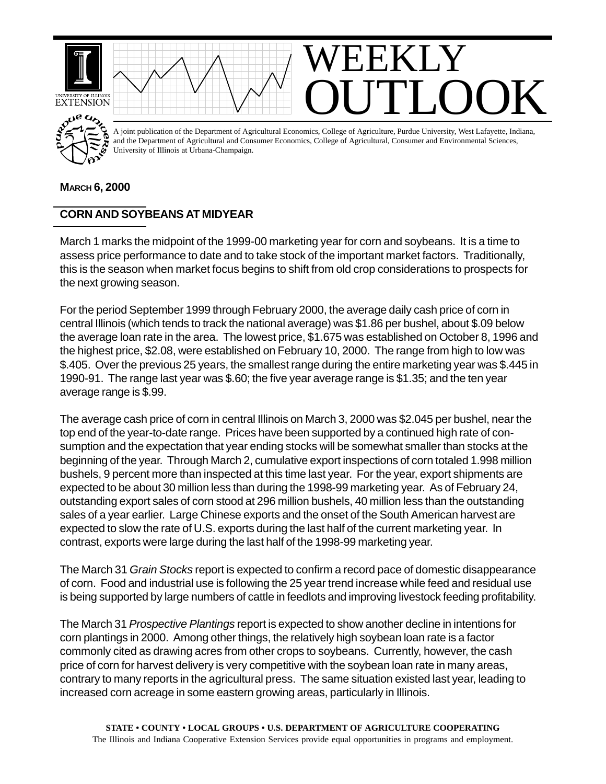

## **MARCH 6, 2000**

## **CORN AND SOYBEANS AT MIDYEAR**

March 1 marks the midpoint of the 1999-00 marketing year for corn and soybeans. It is a time to assess price performance to date and to take stock of the important market factors. Traditionally, this is the season when market focus begins to shift from old crop considerations to prospects for the next growing season.

For the period September 1999 through February 2000, the average daily cash price of corn in central Illinois (which tends to track the national average) was \$1.86 per bushel, about \$.09 below the average loan rate in the area. The lowest price, \$1.675 was established on October 8, 1996 and the highest price, \$2.08, were established on February 10, 2000. The range from high to low was \$.405. Over the previous 25 years, the smallest range during the entire marketing year was \$.445 in 1990-91. The range last year was \$.60; the five year average range is \$1.35; and the ten year average range is \$.99.

The average cash price of corn in central Illinois on March 3, 2000 was \$2.045 per bushel, near the top end of the year-to-date range. Prices have been supported by a continued high rate of consumption and the expectation that year ending stocks will be somewhat smaller than stocks at the beginning of the year. Through March 2, cumulative export inspections of corn totaled 1.998 million bushels, 9 percent more than inspected at this time last year. For the year, export shipments are expected to be about 30 million less than during the 1998-99 marketing year. As of February 24, outstanding export sales of corn stood at 296 million bushels, 40 million less than the outstanding sales of a year earlier. Large Chinese exports and the onset of the South American harvest are expected to slow the rate of U.S. exports during the last half of the current marketing year. In contrast, exports were large during the last half of the 1998-99 marketing year.

The March 31 *Grain Stocks* report is expected to confirm a record pace of domestic disappearance of corn. Food and industrial use is following the 25 year trend increase while feed and residual use is being supported by large numbers of cattle in feedlots and improving livestock feeding profitability.

The March 31 *Prospective Plantings* report is expected to show another decline in intentions for corn plantings in 2000. Among other things, the relatively high soybean loan rate is a factor commonly cited as drawing acres from other crops to soybeans. Currently, however, the cash price of corn for harvest delivery is very competitive with the soybean loan rate in many areas, contrary to many reports in the agricultural press. The same situation existed last year, leading to increased corn acreage in some eastern growing areas, particularly in Illinois.